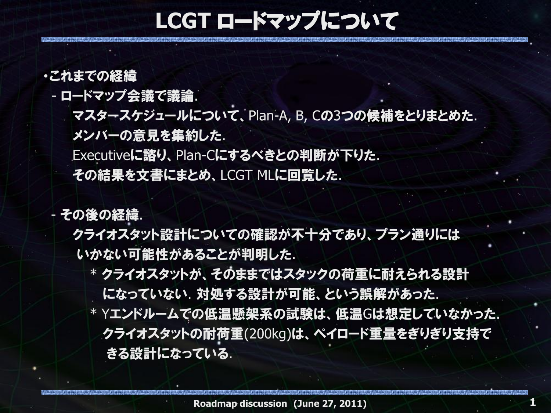### **LCGT** ロードマップについて

#### ・これまでの経緯

- ロードマップ会議で議論.

マスタースケジュールについて、Plan-A, B, Cの3つの候補をとりまとめた.

メンバーの意見を集約した.

Executiveに諮り、Plan-Cにするべきとの判断が下りた. その結果を文書にまとめ、LCGT MLに回覧した.

- その後の経緯.

 クライオスタット設計についての確認が丌十分であり、プラン通りには いかない可能性があることが判明した.

 \* クライオスタットが、そのままではスタックの荷重に耐えられる設計 になっていない. 対処する設計が可能、という誤解があった. \* Yエンドルームでの低温懸架系の試験は、低温Gは想定していなかった. クライオスタットの耐荷重(200kg)は、ペイロード重量をぎりぎり支持で きる設計になっている.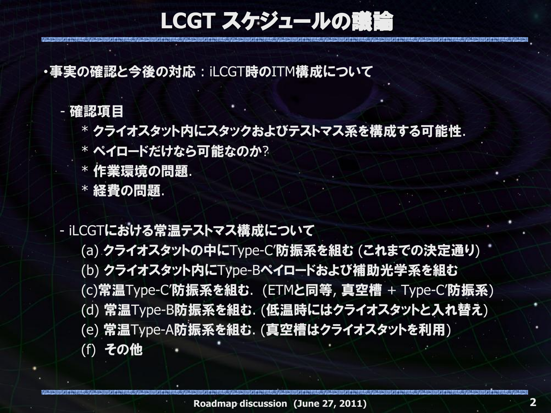### **LCGT** スケジュールの議論

・事実の確認と今後の対応 : iLCGT時のITM構成について

#### - 確認項目

- \* クライオスタット内にスタックおよびテストマス系を構成する可能性.
- \* ペイロードだけなら可能なのか?
- \* 作業環境の問題.
- \* 経費の問題.

#### - iLCGTにおける常温テストマス構成について

 (a) クライオスタットの中にType-C'防振系を組む (これまでの決定通り) (b) クライオスタット内にType-Bペイロードおよび補助光学系を組む (c)常温Type-C'防振系を組む. (ETMと同等, 真空槽 + Type-C'防振系) (d) 常温Type-B防振系を組む. (低温時にはクライオスタットと入れ替え) (e) 常温Type-A防振系を組む. (真空槽はクライオスタットを利用) (f) その他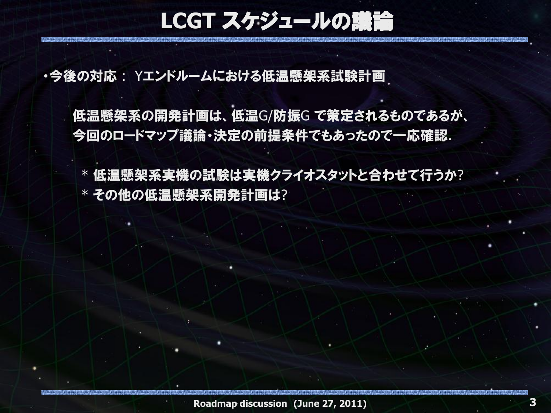**LCGT** スケジュールの議論

・今後の対応 : Yエンドルームにおける低温懸架系試験計画

 低温懸架系の開発計画は、低温G/防振G で策定されるものであるが、 今回のロードマップ議論・決定の前提条件でもあったので一応確認.

 \* 低温懸架系実機の試験は実機クライオスタットと合わせて行うか? \* その他の低温懸架系開発計画は?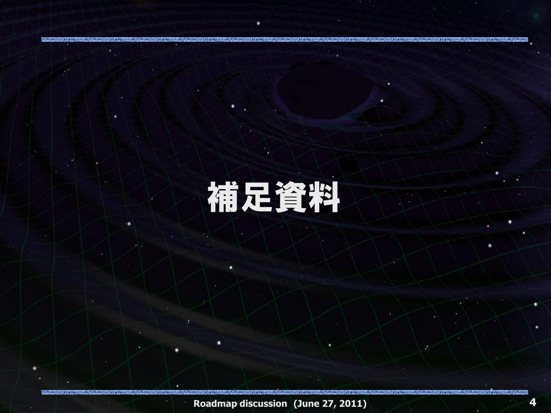# 補足資料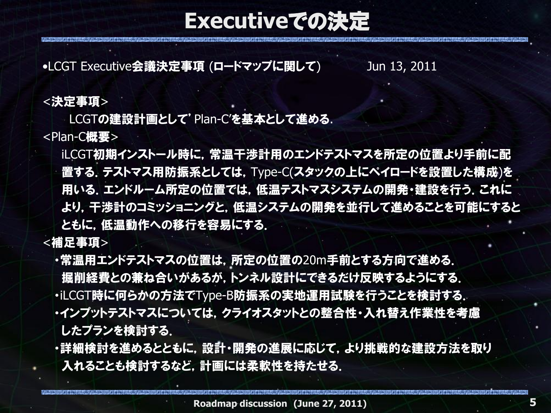### **Executive**での決定

•LCGT Executive会議決定事項 (ロードマップに関して) Jun 13, 2011

#### <決定事項>

LCGTの建設計画として'Plan-C'を基本として進める.

<Plan-C概要>

 iLCGT初期インストール時に,常温干渉計用のエンドテストマスを所定の位置より手前に配 ■置する. テストマス用防振系としては, Type-C(スタックの上にペイロードを設置した構成)を 用いる. エンドルーム所定の位置では. 低温テストマスシステムの開発・建設を行う. これに より,干渉計のコミッショニングと,低温システムの開発を並行して進めることを可能にすると ともに,低温動作への移行を容易にする.

<補足事項>

- ・常温用エンドテストマスの位置は,所定の位置の20m手前とする方向で進める. 掘削経費との兼ね合いがあるが,トンネル設計にできるだけ反映するようにする. ・iLCGT時に何らかの方法でType-B防振系の実地運用試験を行うことを検討する. ・インプットテストマスについては,クライオスタットとの整合性・入れ替え作業性を考慮 したプランを検討する.
- ・詳細検討を進めるとともに,設計・開発の進展に応じて,より挑戦的な建設方法を取り 入れることも検討するなど,計画には柔軟性を持たせる.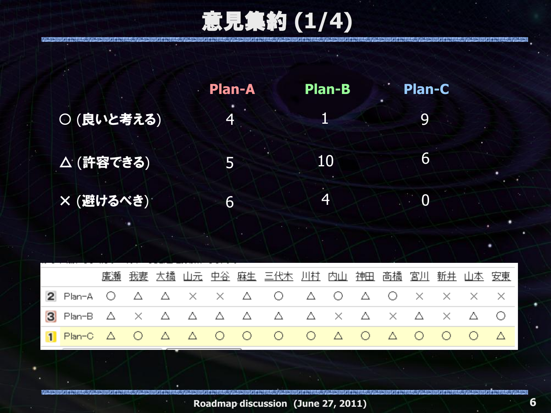意見集約 **(1/4)**

|            | - Plan-A | <b>Plan-B</b> | <b>Plan-C</b>  |  |
|------------|----------|---------------|----------------|--|
| ○ (良いと考える) | 4        |               | Q              |  |
| △ (許容できる)  | 5        | 10            | 6              |  |
| × (避けるべき)  | 6        | 4             | $\overline{0}$ |  |

|                                                                                                    |  |  |  | 廣瀬 我妻 大橋 山元 中谷 麻生 三代木 川村 内山 神田 高橋 宮川 新井 山本 安東 |  |  |  |  |
|----------------------------------------------------------------------------------------------------|--|--|--|-----------------------------------------------|--|--|--|--|
| 2 Plan-A Ο Δ Δ Χ Χ Δ Ο Δ Ο Δ Ο Χ Χ Χ Χ                                                             |  |  |  |                                               |  |  |  |  |
|                                                                                                    |  |  |  |                                               |  |  |  |  |
| 1 Plan-C $\triangle$ O $\triangle$ $\triangle$ O O O O $\triangle$ O $\triangle$ O O O $\triangle$ |  |  |  |                                               |  |  |  |  |

**Roadmap discussion (June 27, 2011)**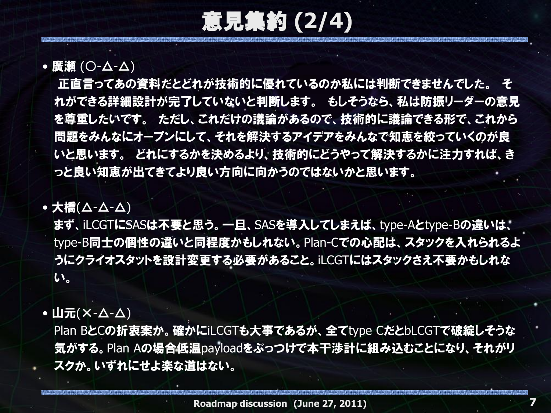意見集約 **(2/4)**

#### • 廣瀬 (〇-△-△)

 正直言ってあの資料だとどれが技術的に優れているのか私には判断できませんでした。 そ れができる詳細設計が完了していないと判断します。 もしそうなら、私は防振リーダーの意見 を尊重したいです。 ただし、これだけの議論があるので、技術的に議論できる形で、これから 問題をみんなにオープンにして、それを解決するアイデアをみんなで知恵を絞っていくのが良 いと思います。 どれにするかを決めるより、技術的にどうやって解決するかに注力すれば、き っと良い知恵が出てきてより良い方向に向かうのではないかと思います。

#### • 大橋(△-△-△)

 まず、iLCGTにSASは丌要と思う。一旦、SASを導入してしまえば、type-Aとtype-Bの違いは、 type-B同士の個性の違いと同程度かもしれない。Plan-Cでの心配は、スタックを入れられるよ うにクライオスタットを設計変更する必要があること。iLCGTにはスタックさえ丌要かもしれな い。

#### •山元(X- $\overline{\Delta}$ - $\overline{\Delta}$ )

Plan BとCの折衷案か。確かにiLCGTも大事であるが、全てtype CだとbLCGTで破綻しそうな 気がする。Plan Aの場合低温payloadをぶっつけで本干渉計に組み込むことになり、それがリ スクか。いずれにせよ楽な道はない。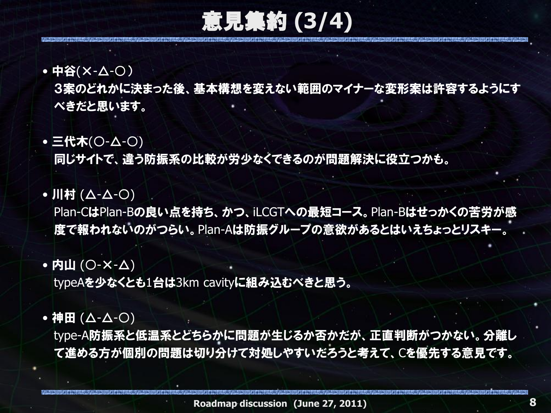意見集約 **(3/4)**

• 中谷(×-△-○)

 3案のどれかに決まった後、基本構想を変えない範囲のマイナーな変形案は許容するようにす べきだと思います。

• 三代木(○-△-○)

同じサイトで、違う防振系の比較が労少なくできるのが問題解決に役立つかも。

•川村 (△-△-○)

Plan-CはPlan-Bの良い点を持ち、かつ、iLCGTへの最短コース。Plan-Bはせっかくの苦労が感 度で報われないのがつらい。Plan-Aは防振グループの意欲があるとはいえちょっとリスキー。

### • 内山 (〇-**×-△)**

typeAを少なくとも1台は3km cavityに組み込むべきと思う。

#### •神田 (△-△-○)

 type-A防振系と低温系とどちらかに問題が生じるか否かだが、正直判断がつかない。分離し て進める方が個別の問題は切り分けて対処しやすいだろうと考えて、Cを優先する意見です。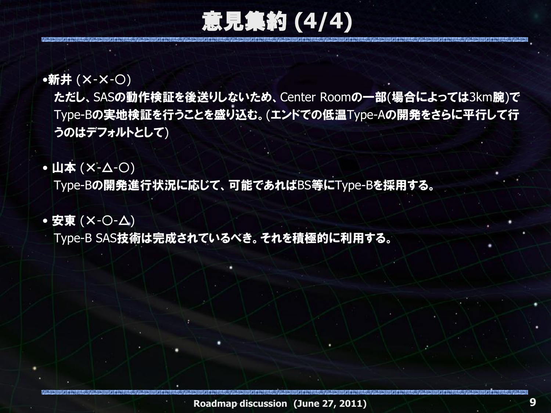意見集約 **(4/4)**

#### •新井 (×-×-○)

 ただし、SASの動作検証を後送りしないため、Center Roomの一部(場合によっては3km腕)で Type-Bの実地検証を行うことを盛り込む。(エンドでの低温Type-Aの開発をさらに平行して行 うのはデフォルトとして)

•山本 (X-△-○)

Type-Bの開発進行状況に応じて、可能であればBS等にType-Bを採用する。

#### • 安東 (×-〇-△)

Type-B SAS技術は完成されているべき。それを積極的に利用する。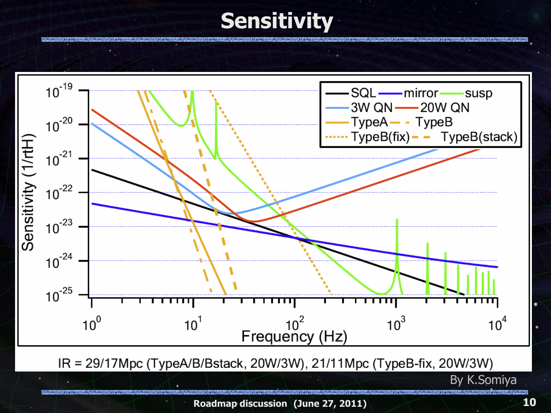### **Sensitivity**



**Roadmap discussion (June 27, 2011)**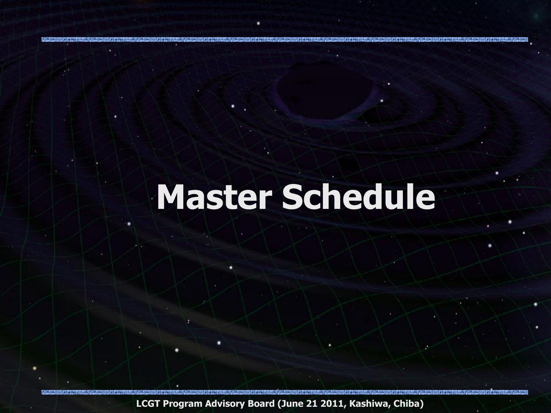## **Master Schedule**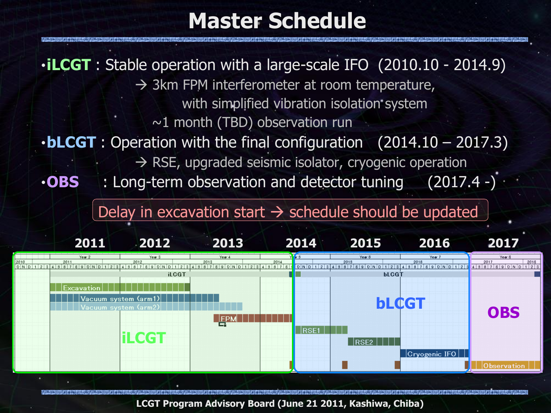### **Master Schedule**

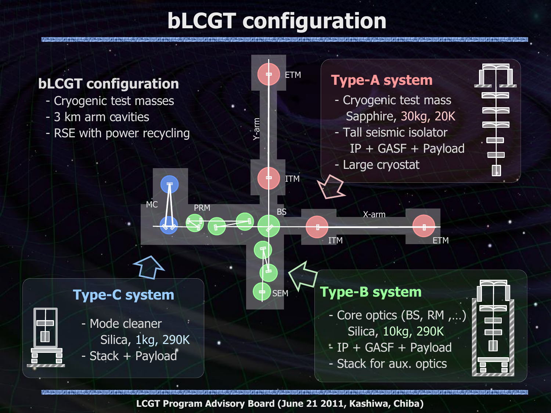### **bLCGT configuration**

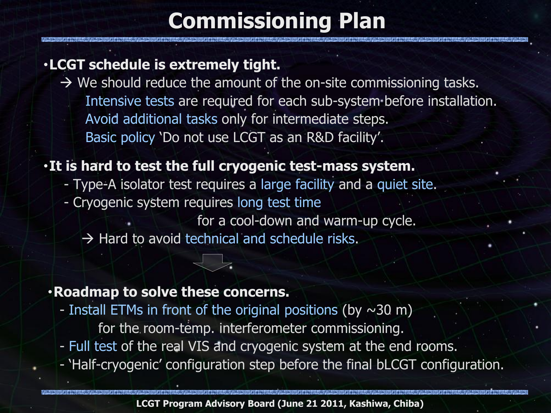### **Commissioning Plan**

#### ・**LCGT schedule is extremely tight.**

 $\rightarrow$  We should reduce the amount of the on-site commissioning tasks. Intensive tests are required for each sub-system before installation. Avoid additional tasks only for intermediate steps. Basic policy 'Do not use LCGT as an R&D facility'.

#### ・**It is hard to test the full cryogenic test-mass system.**

- Type-A isolator test requires a large facility and a quiet site.
- Cryogenic system requires long test time
	- for a cool-down and warm-up cycle.
	- $\rightarrow$  Hard to avoid technical and schedule risks.

#### ・**Roadmap to solve these concerns.**

- Install ETMs in front of the original positions (by  $\sim$ 30 m)
	- for the room-temp. interferometer commissioning.
- Full test of the real VIS and cryogenic system at the end rooms.
- 'Half-cryogenic' configuration step before the final bLCGT configuration.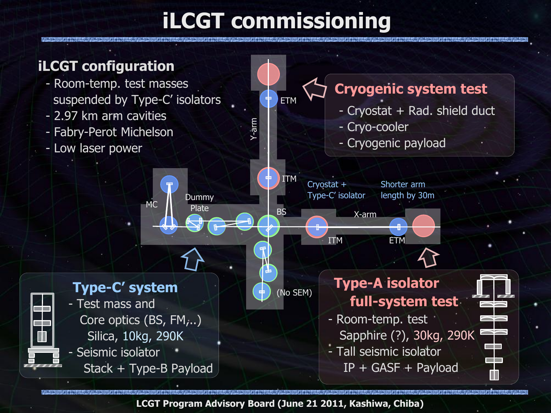### **iLCGT commissioning**

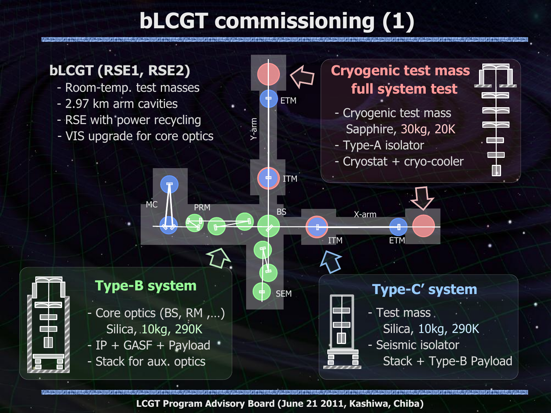### **bLCGT commissioning (1)**

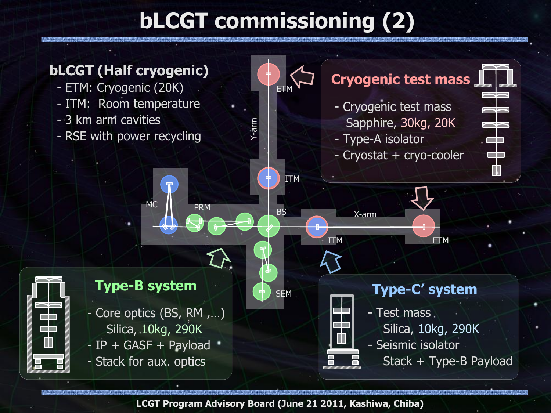### **bLCGT commissioning (2)**

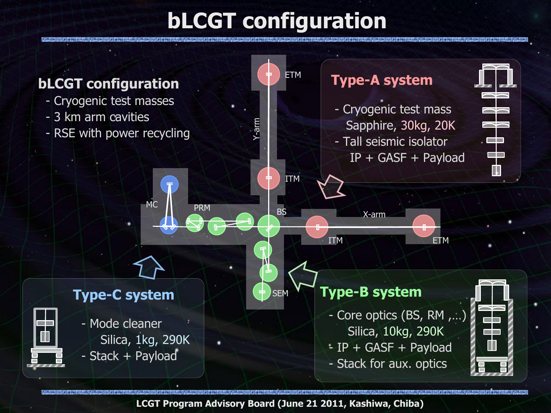### **bLCGT configuration**